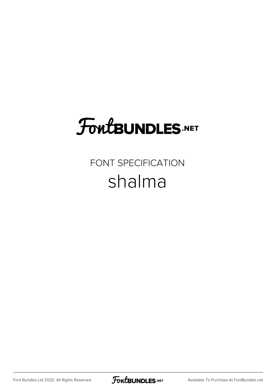# **FoutBUNDLES.NET**

## FONT SPECIFICATION shalma

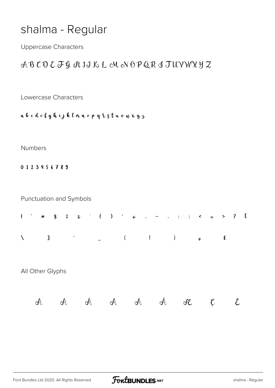## shalma - Regular

**Uppercase Characters** 

### ABCDE FG I IIKL MNOPQR I TUVWYYZ

Lowercase Characters

a b c d e f g h i j k l n n o p q & s t u v w x y z

#### Numbers

0123456789

Punctuation and Symbols

| $\mathbf{I}$ | $\mathcal{F}_{\rm{max}}$ | $\#$         |                  |                     |                     |                          | $\begin{array}{ccccccccccccccccc}\n\text{\AA} & \text{\AA} & \text{\AA} & \text{\AA} & \text{\AA} & \text{\AA} & \text{\AA} & \text{\AA} & \text{\AA} & \text{\AA} & \text{\AA} & \text{\AA} & \text{\AA} & \text{\AA} & \text{\AA} & \text{\AA} & \text{\AA} & \text{\AA} & \text{\AA} & \text{\AA} & \text{\AA} & \text{\AA} & \text{\AA} & \text{\AA} & \text{\AA} & \text{\AA} & \text{\AA} & \text{\AA} & \text{\AA} & \text{\AA} & \text{\AA} & \text{\AA} & \text{\AA} & \text{\AA} & \text{\AA$ |      |   | $\sim$ $-$ | $\ddot{\phantom{a}}$ |      | $\therefore$ $\therefore$ $\leq$ $\equiv$ > ? |                     |               |             |                          | $\overline{a}$ |
|--------------|--------------------------|--------------|------------------|---------------------|---------------------|--------------------------|---------------------------------------------------------------------------------------------------------------------------------------------------------------------------------------------------------------------------------------------------------------------------------------------------------------------------------------------------------------------------------------------------------------------------------------------------------------------------------------------------------|------|---|------------|----------------------|------|-----------------------------------------------|---------------------|---------------|-------------|--------------------------|----------------|
| $\backslash$ |                          | $\mathbf{I}$ |                  | $\hat{\phantom{a}}$ |                     | $\overline{\phantom{a}}$ |                                                                                                                                                                                                                                                                                                                                                                                                                                                                                                         | $\{$ |   |            |                      | $\}$ |                                               | $\pmb{\mathcal{G}}$ |               | $\mathbf f$ |                          |                |
|              |                          |              | All Other Glyphs |                     |                     |                          |                                                                                                                                                                                                                                                                                                                                                                                                                                                                                                         |      |   |            |                      |      |                                               |                     |               |             |                          |                |
|              | Å                        |              |                  | Å                   | $\hat{\mathcal{A}}$ |                          | Ã                                                                                                                                                                                                                                                                                                                                                                                                                                                                                                       |      | Ä | Å          |                      |      | Æ                                             |                     | $\mathfrak c$ |             | $\mathcal{\mathring{L}}$ |                |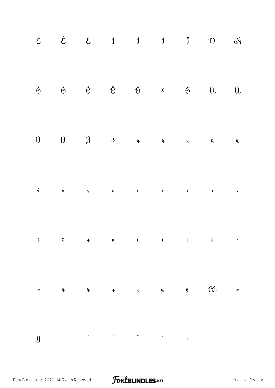|                 |  |  |  | $\begin{array}{cccccccccccccc} \xi & & \hat{\xi} & & \hat{J} & & \hat{J} & & \hat{J} & & \hat{O} & & \mathrm{e} \tilde{N} \end{array}$                                                                                                                                                                                                                                                    |  |
|-----------------|--|--|--|-------------------------------------------------------------------------------------------------------------------------------------------------------------------------------------------------------------------------------------------------------------------------------------------------------------------------------------------------------------------------------------------|--|
|                 |  |  |  | $\begin{array}{ccccccccccccccccc} \dot{\Theta} && \dot{\Theta} && \dot{\Theta} && \ddot{\Theta} && \dot{\Theta} && \dot{\Theta} && \dot{\Upsilon} && \dot{\Upsilon} \end{array}$                                                                                                                                                                                                          |  |
|                 |  |  |  | $\hat{U} \hspace{1.25cm} \hat{U} \hspace{1.25cm} \hat{y} \hspace{1.25cm} \hat{a} \hspace{1.25cm} \hat{a} \hspace{1.25cm} \hat{a} \hspace{1.25cm} \hat{a} \hspace{1.25cm} \tilde{a} \hspace{1.25cm} \tilde{a} \hspace{1.25cm} \tilde{a} \hspace{1.25cm} \tilde{a} \hspace{1.25cm} \tilde{a} \hspace{1.25cm} \tilde{a} \hspace{1.25cm} \tilde{a} \hspace{1.25cm} \tilde$                    |  |
|                 |  |  |  | $\hat{\mathbf{q}}$ a $\mathbf{q}$ $\hat{\mathbf{q}}$ a $\hat{\mathbf{q}}$ $\hat{\mathbf{q}}$ $\hat{\mathbf{q}}$ $\hat{\mathbf{q}}$ $\hat{\mathbf{q}}$ $\hat{\mathbf{q}}$ $\hat{\mathbf{q}}$ $\hat{\mathbf{q}}$ $\hat{\mathbf{q}}$ $\hat{\mathbf{q}}$ $\hat{\mathbf{q}}$ $\hat{\mathbf{q}}$ $\hat{\mathbf{q}}$ $\hat{\mathbf{q}}$ $\hat{\mathbf{q}}$ $\hat{\mathbf{q}}$ $\hat{\mathbf{q}}$ |  |
| î               |  |  |  | $\ddot{\mathbf{u}}$ is a $\ddot{\mathbf{v}}$ is a $\ddot{\mathbf{v}}$ is a $\ddot{\mathbf{v}}$ is $\ddot{\mathbf{v}}$ is $\ddot{\mathbf{v}}$ is $\ddot{\mathbf{v}}$ is $\ddot{\mathbf{v}}$ is $\ddot{\mathbf{v}}$ is $\ddot{\mathbf{v}}$ is $\ddot{\mathbf{v}}$ is $\ddot{\mathbf{v}}$ is $\ddot{\mathbf{v}}$ is $\ddot{\mathbf{v}}$ is $\ddot{\$                                         |  |
| $\pmb{\hat{v}}$ |  |  |  | $\hat{u}$ $\hat{u}$ $\hat{u}$ $\hat{u}$ $\hat{y}$ $\hat{y}$ $\theta$ $\epsilon$ $\epsilon$                                                                                                                                                                                                                                                                                                |  |
| ÿ               |  |  |  |                                                                                                                                                                                                                                                                                                                                                                                           |  |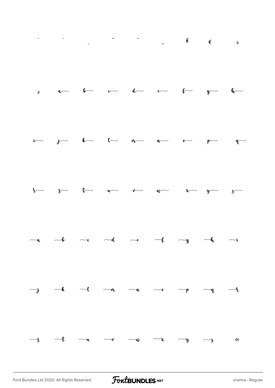